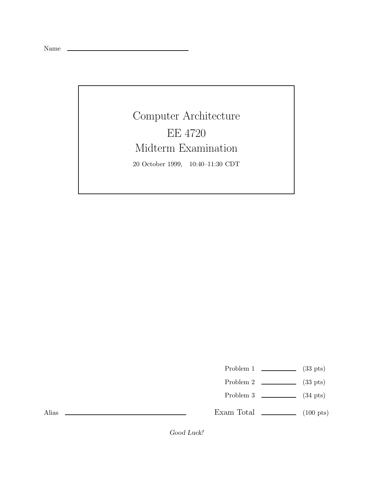Name \_\_

## Computer Architecture EE 4720 Midterm Examination 20 October 1999, 10:40–11:30 CDT

Problem 1  $\qquad \qquad$  (33 pts)

- Problem 2  $\qquad \qquad$  (33 pts)
- Problem 3 (34 pts)

Exam Total  $\qquad \qquad$  (100 pts)

Alias

*Good Luck!*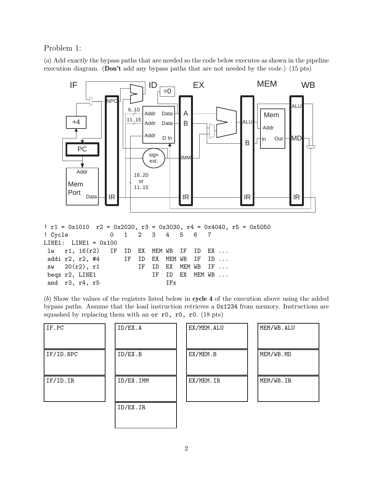## Problem 1:

(a) Add *exactly* the bypass paths that are needed so the code below executes as shown in the pipeline execution diagram. (**Don't** add any bypass paths that are not needed by the code.) (15 pts)



| $\text{r1 = } 0 \times 1010$ $\text{r2 = } 0 \times 2020$ , $\text{r3 = } 0 \times 3030$ , $\text{r4 = } 0 \times 4040$ , $\text{r5 = } 0 \times 5050$ |                 |  |              |  |  |  |  |
|--------------------------------------------------------------------------------------------------------------------------------------------------------|-----------------|--|--------------|--|--|--|--|
| ! Cycle 0 1 2 3 4 5 6 7                                                                                                                                |                 |  |              |  |  |  |  |
| $LINE1: LINE1 = 0x100$                                                                                                                                 |                 |  |              |  |  |  |  |
| $1w$ r1, $16(r2)$ IF ID EX MEM WB IF ID EX                                                                                                             |                 |  |              |  |  |  |  |
| addi r2, r2, #4 $\qquad$ IF ID EX MEM WB IF ID                                                                                                         |                 |  |              |  |  |  |  |
| $sw$ 20 $(r2)$ , $r1$ IF ID EX MEM WB IF                                                                                                               |                 |  |              |  |  |  |  |
| beqz r2, LINE1                                                                                                                                         | IF ID EX MEM WB |  |              |  |  |  |  |
| and r3, r4, r5                                                                                                                                         |                 |  | $_{\rm IFx}$ |  |  |  |  |

(b) Show the values of the registers listed below in **cycle 4** of the execution above using the added bypass paths. Assume that the load instruction retrieves a 0x1234 from memory. Instructions are squashed by replacing them with an  $or$   $r0$ ,  $r0$ ,  $r0$ .  $(18 \text{ pts})$ 

| IF.PC     | ID/EX.A   | EX/MEM.ALU | MEM/WB.ALU |
|-----------|-----------|------------|------------|
| IF/ID.NPC | ID/EX.B   | EX/MEM.B   | MEM/WB.MD  |
| IF/ID. IR | ID/EX.IMM | EX/MEM.IR  | MEM/WB.IR  |
|           | ID/EX.IR  |            |            |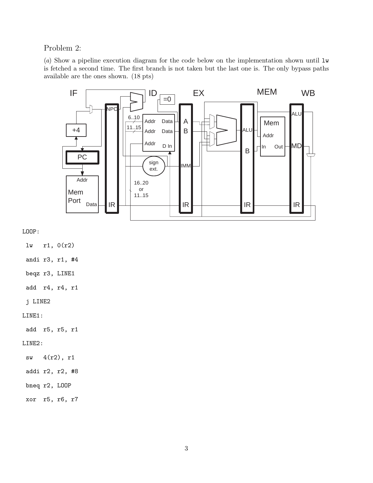Problem 2:

(a) Show a pipeline execution diagram for the code below on the implementation shown until lw is fetched a second time. The first branch is not taken but the last one is. The only bypass paths available are the ones shown. (18 pts)



LOOP:

lw r1, 0(r2)

andi r3, r1, #4

beqz r3, LINE1

add r4, r4, r1

j LINE2

LINE1:

add r5, r5, r1

LINE2:

sw 4(r2), r1

addi r2, r2, #8

bneq r2, LOOP

xor r5, r6, r7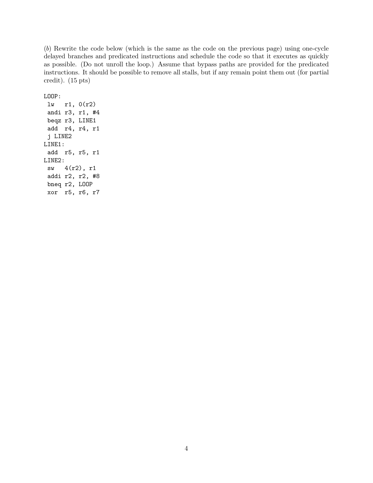(b) Rewrite the code below (which is the same as the code on the previous page) using one-cycle delayed branches and predicated instructions and schedule the code so that it executes as quickly as possible. (Do not unroll the loop.) Assume that bypass paths are provided for the predicated instructions. It should be possible to remove all stalls, but if any remain point them out (for partial credit). (15 pts)

LOOP:

lw r1, 0(r2) andi r3, r1, #4 beqz r3, LINE1 add r4, r4, r1 j LINE2 LINE1: add r5, r5, r1 LINE2: sw 4(r2), r1 addi r2, r2, #8 bneq r2, LOOP xor r5, r6, r7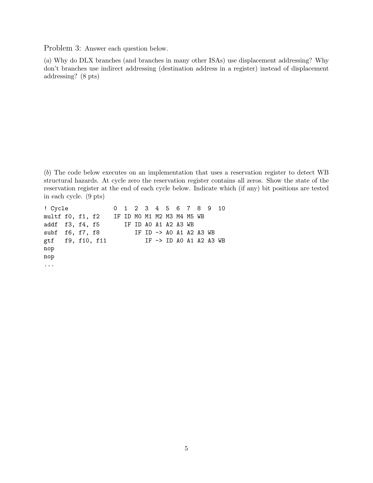Problem 3: Answer each question below.

(a) Why do DLX branches (and branches in many other ISAs) use displacement addressing? Why don't branches use indirect addressing (destination address in a register) instead of displacement addressing? (8 pts)

(b) The code below executes on an implementation that uses a reservation register to detect WB structural hazards. At cycle zero the reservation register contains all zeros. Show the state of the reservation register at the end of each cycle below. Indicate which (if any) bit positions are tested in each cycle. (9 pts)

```
! Cycle 0 1 2 3 4 5 6 7 8 9 10
multf f0, f1, f2 IF ID M0 M1 M2 M3 M4 M5 WB
addf f3, f4, f5 IF ID A0 A1 A2 A3 WB
subf f6, f7, f8 IF ID -> A0 A1 A2 A3 WB
gtf f9, f10, f11 IF -> ID A0 A1 A2 A3 WB
nop
nop
...
```